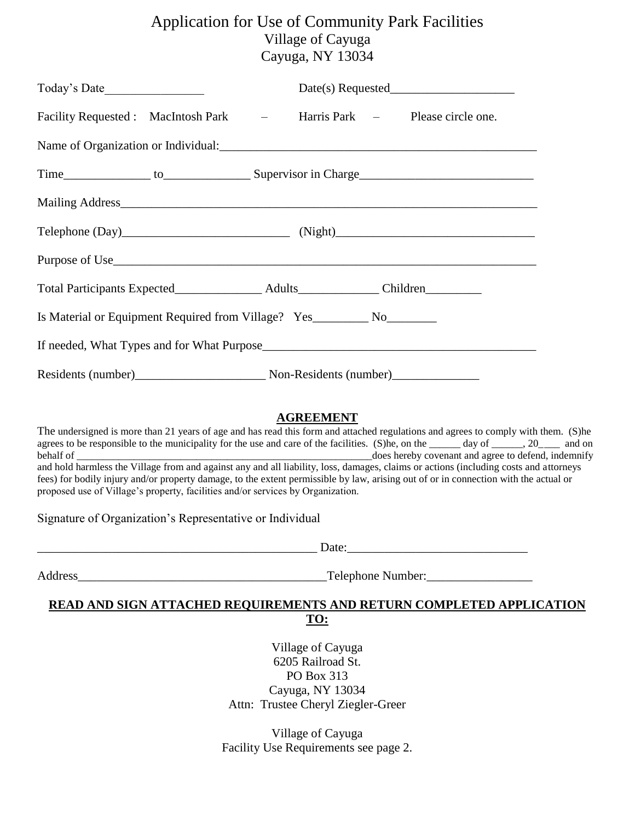## Application for Use of Community Park Facilities Village of Cayuga Cayuga, NY 13034

| Today's Date                                                                      |  |  |  |  |  |  |  |
|-----------------------------------------------------------------------------------|--|--|--|--|--|--|--|
| Facility Requested : MacIntosh Park - Harris Park - Please circle one.            |  |  |  |  |  |  |  |
|                                                                                   |  |  |  |  |  |  |  |
|                                                                                   |  |  |  |  |  |  |  |
|                                                                                   |  |  |  |  |  |  |  |
|                                                                                   |  |  |  |  |  |  |  |
|                                                                                   |  |  |  |  |  |  |  |
|                                                                                   |  |  |  |  |  |  |  |
| Is Material or Equipment Required from Village? Yes______________________________ |  |  |  |  |  |  |  |
|                                                                                   |  |  |  |  |  |  |  |
|                                                                                   |  |  |  |  |  |  |  |

## **AGREEMENT**

The undersigned is more than 21 years of age and has read this form and attached regulations and agrees to comply with them. (S)he agrees to be responsible to the municipality for the use and care of the facilities. (S)he, on the \_\_\_\_\_\_ day of \_\_\_\_\_, 20\_\_\_\_ and on behalf of \_\_\_\_\_\_\_\_\_\_\_\_\_\_\_\_\_\_\_\_\_\_\_\_\_\_\_\_\_\_\_\_\_\_\_\_\_\_\_\_\_\_\_\_\_\_\_\_\_\_\_\_\_\_\_\_\_does hereby covenant and agree to defend, indemnify and hold harmless the Village from and against any and all liability, loss, damages, claims or actions (including costs and attorneys fees) for bodily injury and/or property damage, to the extent permissible by law, arising out of or in connection with the actual or proposed use of Village's property, facilities and/or services by Organization.

Signature of Organization's Representative or Individual

 $Date:$ 

Address\_\_\_\_\_\_\_\_\_\_\_\_\_\_\_\_\_\_\_\_\_\_\_\_\_\_\_\_\_\_\_\_\_\_\_\_\_\_\_\_Telephone Number:\_\_\_\_\_\_\_\_\_\_\_\_\_\_\_\_\_

## **READ AND SIGN ATTACHED REQUIREMENTS AND RETURN COMPLETED APPLICATION TO:**

Village of Cayuga 6205 Railroad St. PO Box 313 Cayuga, NY 13034 Attn: Trustee Cheryl Ziegler-Greer

Village of Cayuga Facility Use Requirements see page 2.